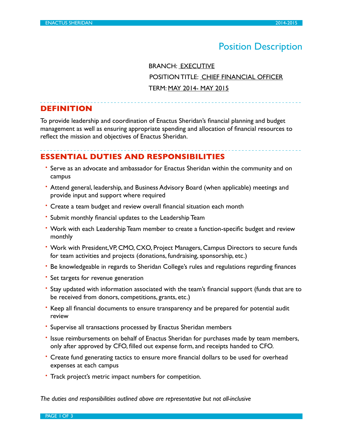# Position Description

 BRANCH: EXECUTIVE POSITION TITLE: CHIEF FINANCIAL OFFICER TERM: MAY 2014- MAY 2015

# **DEFINITION**

To provide leadership and coordination of Enactus Sheridan's financial planning and budget management as well as ensuring appropriate spending and allocation of financial resources to reflect the mission and objectives of Enactus Sheridan.

# **ESSENTIAL DUTIES AND RESPONSIBILITIES**

- Serve as an advocate and ambassador for Enactus Sheridan within the community and on campus
- Attend general, leadership, and Business Advisory Board (when applicable) meetings and provide input and support where required
- Create a team budget and review overall financial situation each month
- Submit monthly financial updates to the Leadership Team
- Work with each Leadership Team member to create a function-specific budget and review monthly
- Work with President, VP, CMO, CXO, Project Managers, Campus Directors to secure funds for team activities and projects (donations, fundraising, sponsorship, etc.)
- Be knowledgeable in regards to Sheridan College's rules and regulations regarding finances
- Set targets for revenue generation
- Stay updated with information associated with the team's financial support (funds that are to be received from donors, competitions, grants, etc.)
- Keep all financial documents to ensure transparency and be prepared for potential audit review
- Supervise all transactions processed by Enactus Sheridan members
- Issue reimbursements on behalf of Enactus Sheridan for purchases made by team members, only after approved by CFO, filled out expense form, and receipts handed to CFO.
- Create fund generating tactics to ensure more financial dollars to be used for overhead expenses at each campus
- Track project's metric impact numbers for competition.

*The duties and responsibilities outlined above are representative but not all-inclusive*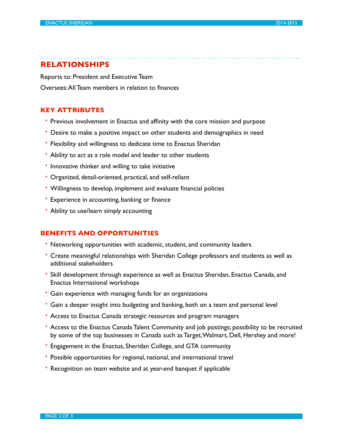## **RELATIONSHIPS**

Reports to: President and Executive Team Oversees: All Team members in relation to finances

#### **KEY ATTRIBUTES**

- Previous involvement in Enactus and affinity with the core mission and purpose
- Desire to make a positive impact on other students and demographics in need
- Flexibility and willingness to dedicate time to Enactus Sheridan
- Ability to act as a role model and leader to other students
- Innovative thinker and willing to take initiative
- Organized, detail-oriented, practical, and self-reliant
- Willingness to develop, implement and evaluate financial policies
- Experience in accounting, banking or finance
- Ability to use/learn simply accounting

#### **BENEFITS AND OPPORTUNITIES**

- Networking opportunities with academic, student, and community leaders
- Create meaningful relationships with Sheridan College professors and students as well as additional stakeholders
- Skill development through experience as well as Enactus Sheridan, Enactus Canada, and Enactus International workshops
- Gain experience with managing funds for an organizations
- Gain a deeper insight into budgeting and banking, both on a team and personal level
- Access to Enactus Canada strategic resources and program managers
- Access to the Enactus Canada Talent Community and job postings; possibility to be recruited by some of the top businesses in Canada such as Target, Walmart, Dell, Hershey and more!
- Engagement in the Enactus, Sheridan College, and GTA community
- Possible opportunities for regional, national, and international travel
- Recognition on team website and at year-end banquet if applicable